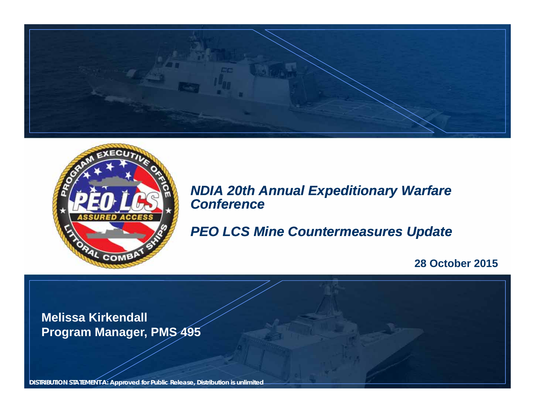



*NDIA 20th Annual Expeditionary Warfare Conference*

*PEO LCS Mine Countermeasures Update*

**28 October 2015**

**Melissa Kirkendall Program Manager, PMS 495**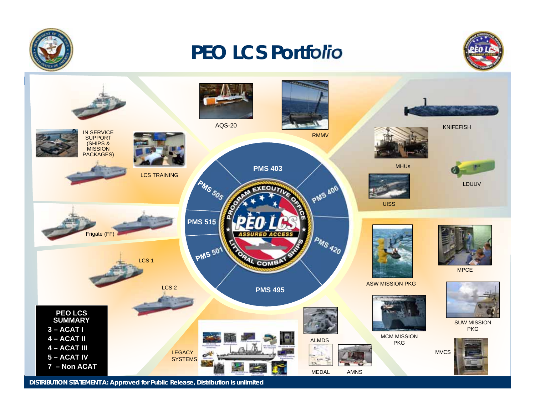

## *PEO LCS Portfolio*



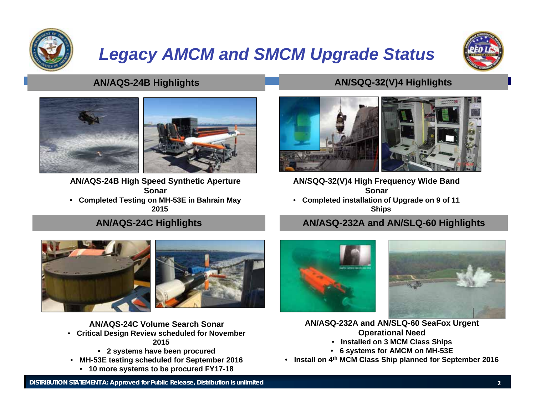

## *Legacy AMCM and SMCM Upgrade Status*





**AN/AQS-24B High Speed Synthetic Aperture Sonar**• **Completed Testing on MH-53E in Bahrain May** 

**2015**

#### • **27 systems have been procured Figure 2016**

#### **AN/AQS-24B Highlights AN/SQQ-32(V)4 Highlights**



**AN/SQQ-32(V)4 High Frequency Wide Band Sonar**

• **Completed installation of Upgrade on 9 of 11 Ships**

### • **Remaining ships to be completed in FY16 AN/AQS-24C Highlights AN/ASQ-232A and AN/SLQ-60 Highlights**



**AN/AQS-24C Volume Search Sonar**

- **Critical Design Review scheduled for November 2015**
	- **2 systems have been procured**
- **MH-53E testing scheduled for September 2016**
	- **10 more systems to be procured FY17-18**





**AN/ASQ-232A and AN/SLQ-60 SeaFox Urgent Operational Need**

- **Installed on 3 MCM Class Ships** • **6 systems for AMCM on MH-53E**
- **Install on 4th MCM Class Ship planned for September 2016**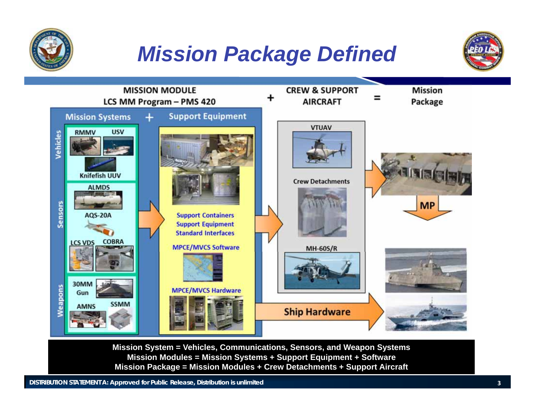

## *Mission Package Defined*





**Mission System = Vehicles, Communications, Sensors, and Weapon Systems Mission Modules = Mission Systems + Support Equipment + Software Mission Package = Mission Modules + Crew Detachments + Support Aircraft**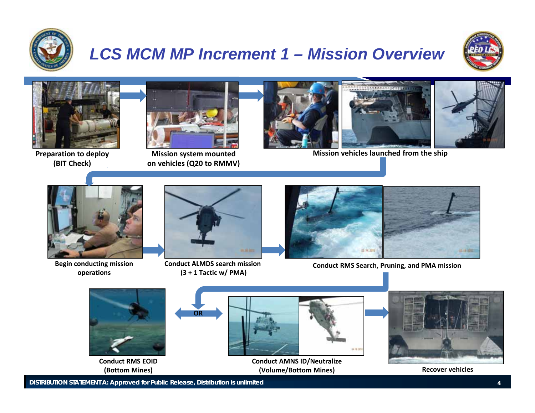

## *LCS MCM MP Increment 1 – Mission Overview*





**Preparation to deploy (BIT Check)**



**Mission system mounted on vehicles (Q20 to RMMV)**





**Mission vehicles launched from the ship**



**Begin conducting mission operations**



**Conduct ALMDS search mission (3 + 1 Tactic w/ PMA)**



**Conduct RMS Search, Pruning, and PMA mission**



**Recover vehicles**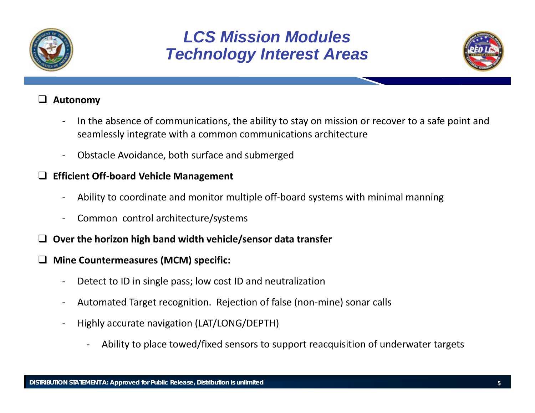

### *LCS Mission ModulesTechnology Interest Areas*



#### $\Box$ **Autonomy**

- ‐- In the absence of communications, the ability to stay on mission or recover to a safe point and seamlessly integrate with <sup>a</sup> common communications architecture
- ‐Obstacle Avoidance, both surface and submerged

#### **Efficient Off‐board Vehicle Management**

- ‐Ability to coordinate and monitor multiple off‐board systems with minimal manning
- ‐Common control architecture/systems
- **Over the horizon high band width vehicle/sensor data transfer**
- $\Box$  **Mine Countermeasures (MCM) specific:**
	- ‐Detect to ID in single pass; low cost ID and neutralization
	- ‐Automated Target recognition. Rejection of false (non‐mine) sonar calls
	- ‐ Highly accurate navigation (LAT/LONG/DEPTH)
		- ‐Ability to place towed/fixed sensors to support reacquisition of underwater targets